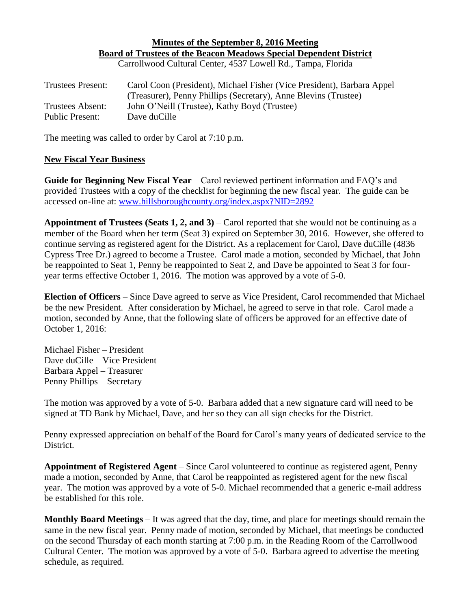### **Minutes of the September 8, 2016 Meeting Board of Trustees of the Beacon Meadows Special Dependent District** Carrollwood Cultural Center, 4537 Lowell Rd., Tampa, Florida

| <b>Trustees Present:</b> | Carol Coon (President), Michael Fisher (Vice President), Barbara Appel<br>(Treasurer), Penny Phillips (Secretary), Anne Blevins (Trustee) |
|--------------------------|-------------------------------------------------------------------------------------------------------------------------------------------|
| Trustees Absent:         | John O'Neill (Trustee), Kathy Boyd (Trustee)                                                                                              |
| Public Present:          | Dave duCille                                                                                                                              |

The meeting was called to order by Carol at 7:10 p.m.

## **New Fiscal Year Business**

**Guide for Beginning New Fiscal Year** – Carol reviewed pertinent information and FAQ's and provided Trustees with a copy of the checklist for beginning the new fiscal year. The guide can be accessed on-line at: [www.hillsboroughcounty.org/index.aspx?NID=2892](http://www.hillsboroughcounty.org/index.aspx?NID=2892)

**Appointment of Trustees (Seats 1, 2, and 3)** – Carol reported that she would not be continuing as a member of the Board when her term (Seat 3) expired on September 30, 2016. However, she offered to continue serving as registered agent for the District. As a replacement for Carol, Dave duCille (4836 Cypress Tree Dr.) agreed to become a Trustee. Carol made a motion, seconded by Michael, that John be reappointed to Seat 1, Penny be reappointed to Seat 2, and Dave be appointed to Seat 3 for fouryear terms effective October 1, 2016. The motion was approved by a vote of 5-0.

**Election of Officers** – Since Dave agreed to serve as Vice President, Carol recommended that Michael be the new President. After consideration by Michael, he agreed to serve in that role. Carol made a motion, seconded by Anne, that the following slate of officers be approved for an effective date of October 1, 2016:

Michael Fisher – President Dave duCille – Vice President Barbara Appel – Treasurer Penny Phillips – Secretary

The motion was approved by a vote of 5-0. Barbara added that a new signature card will need to be signed at TD Bank by Michael, Dave, and her so they can all sign checks for the District.

Penny expressed appreciation on behalf of the Board for Carol's many years of dedicated service to the District.

**Appointment of Registered Agent** – Since Carol volunteered to continue as registered agent, Penny made a motion, seconded by Anne, that Carol be reappointed as registered agent for the new fiscal year. The motion was approved by a vote of 5-0. Michael recommended that a generic e-mail address be established for this role.

**Monthly Board Meetings** – It was agreed that the day, time, and place for meetings should remain the same in the new fiscal year. Penny made of motion, seconded by Michael, that meetings be conducted on the second Thursday of each month starting at 7:00 p.m. in the Reading Room of the Carrollwood Cultural Center. The motion was approved by a vote of 5-0. Barbara agreed to advertise the meeting schedule, as required.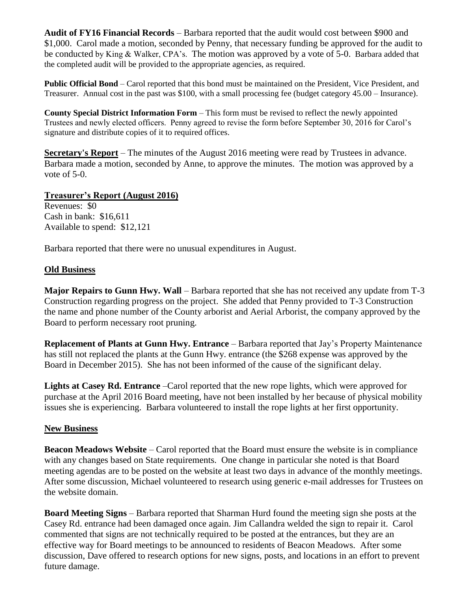**Audit of FY16 Financial Records** – Barbara reported that the audit would cost between \$900 and \$1,000. Carol made a motion, seconded by Penny, that necessary funding be approved for the audit to be conducted by King & Walker, CPA's. The motion was approved by a vote of 5-0. Barbara added that the completed audit will be provided to the appropriate agencies, as required.

**Public Official Bond** – Carol reported that this bond must be maintained on the President, Vice President, and Treasurer. Annual cost in the past was \$100, with a small processing fee (budget category 45.00 – Insurance).

**County Special District Information Form** – This form must be revised to reflect the newly appointed Trustees and newly elected officers. Penny agreed to revise the form before September 30, 2016 for Carol's signature and distribute copies of it to required offices.

**Secretary's Report** – The minutes of the August 2016 meeting were read by Trustees in advance. Barbara made a motion, seconded by Anne, to approve the minutes. The motion was approved by a vote of 5-0.

# **Treasurer's Report (August 2016)**

Revenues: \$0 Cash in bank: \$16,611 Available to spend: \$12,121

Barbara reported that there were no unusual expenditures in August.

# **Old Business**

**Major Repairs to Gunn Hwy. Wall** – Barbara reported that she has not received any update from T-3 Construction regarding progress on the project. She added that Penny provided to T-3 Construction the name and phone number of the County arborist and Aerial Arborist, the company approved by the Board to perform necessary root pruning.

**Replacement of Plants at Gunn Hwy. Entrance** – Barbara reported that Jay's Property Maintenance has still not replaced the plants at the Gunn Hwy. entrance (the \$268 expense was approved by the Board in December 2015). She has not been informed of the cause of the significant delay.

**Lights at Casey Rd. Entrance** –Carol reported that the new rope lights, which were approved for purchase at the April 2016 Board meeting, have not been installed by her because of physical mobility issues she is experiencing. Barbara volunteered to install the rope lights at her first opportunity.

## **New Business**

**Beacon Meadows Website** – Carol reported that the Board must ensure the website is in compliance with any changes based on State requirements. One change in particular she noted is that Board meeting agendas are to be posted on the website at least two days in advance of the monthly meetings. After some discussion, Michael volunteered to research using generic e-mail addresses for Trustees on the website domain.

**Board Meeting Signs** – Barbara reported that Sharman Hurd found the meeting sign she posts at the Casey Rd. entrance had been damaged once again. Jim Callandra welded the sign to repair it. Carol commented that signs are not technically required to be posted at the entrances, but they are an effective way for Board meetings to be announced to residents of Beacon Meadows. After some discussion, Dave offered to research options for new signs, posts, and locations in an effort to prevent future damage.